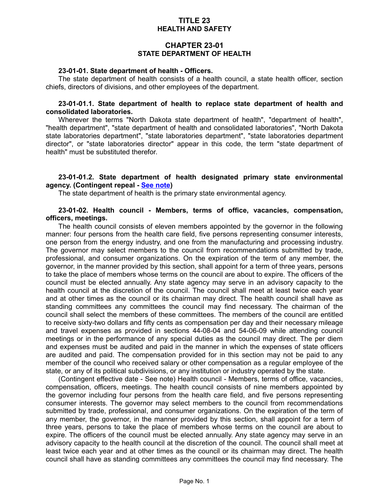## **TITLE 23 HEALTH AND SAFETY**

## **CHAPTER 23-01 STATE DEPARTMENT OF HEALTH**

#### **23-01-01. State department of health - Officers.**

The state department of health consists of a health council, a state health officer, section chiefs, directors of divisions, and other employees of the department.

#### **23-01-01.1. State department of health to replace state department of health and consolidated laboratories.**

Wherever the terms "North Dakota state department of health", "department of health", "health department", "state department of health and consolidated laboratories", "North Dakota state laboratories department", "state laboratories department", "state laboratories department director", or "state laboratories director" appear in this code, the term "state department of health" must be substituted therefor.

### **23-01-01.2. State department of health designated primary state environmental agency. (Contingent repeal - [See note\)](http://www.legis.nd.gov/cencode/notes/2017_199_75.pdf)**

The state department of health is the primary state environmental agency.

### **23-01-02. Health council - Members, terms of office, vacancies, compensation, officers, meetings.**

The health council consists of eleven members appointed by the governor in the following manner: four persons from the health care field, five persons representing consumer interests, one person from the energy industry, and one from the manufacturing and processing industry. The governor may select members to the council from recommendations submitted by trade, professional, and consumer organizations. On the expiration of the term of any member, the governor, in the manner provided by this section, shall appoint for a term of three years, persons to take the place of members whose terms on the council are about to expire. The officers of the council must be elected annually. Any state agency may serve in an advisory capacity to the health council at the discretion of the council. The council shall meet at least twice each year and at other times as the council or its chairman may direct. The health council shall have as standing committees any committees the council may find necessary. The chairman of the council shall select the members of these committees. The members of the council are entitled to receive sixty-two dollars and fifty cents as compensation per day and their necessary mileage and travel expenses as provided in sections 44-08-04 and 54-06-09 while attending council meetings or in the performance of any special duties as the council may direct. The per diem and expenses must be audited and paid in the manner in which the expenses of state officers are audited and paid. The compensation provided for in this section may not be paid to any member of the council who received salary or other compensation as a regular employee of the state, or any of its political subdivisions, or any institution or industry operated by the state.

(Contingent effective date - See note) Health council - Members, terms of office, vacancies, compensation, officers, meetings. The health council consists of nine members appointed by the governor including four persons from the health care field, and five persons representing consumer interests. The governor may select members to the council from recommendations submitted by trade, professional, and consumer organizations. On the expiration of the term of any member, the governor, in the manner provided by this section, shall appoint for a term of three years, persons to take the place of members whose terms on the council are about to expire. The officers of the council must be elected annually. Any state agency may serve in an advisory capacity to the health council at the discretion of the council. The council shall meet at least twice each year and at other times as the council or its chairman may direct. The health council shall have as standing committees any committees the council may find necessary. The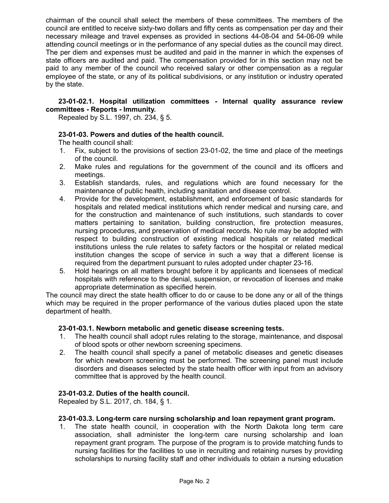chairman of the council shall select the members of these committees. The members of the council are entitled to receive sixty-two dollars and fifty cents as compensation per day and their necessary mileage and travel expenses as provided in sections 44-08-04 and 54-06-09 while attending council meetings or in the performance of any special duties as the council may direct. The per diem and expenses must be audited and paid in the manner in which the expenses of state officers are audited and paid. The compensation provided for in this section may not be paid to any member of the council who received salary or other compensation as a regular employee of the state, or any of its political subdivisions, or any institution or industry operated by the state.

### **23-01-02.1. Hospital utilization committees - Internal quality assurance review committees - Reports - Immunity.**

Repealed by S.L. 1997, ch. 234, § 5.

### **23-01-03. Powers and duties of the health council.**

The health council shall:

- 1. Fix, subject to the provisions of section 23-01-02, the time and place of the meetings of the council.
- 2. Make rules and regulations for the government of the council and its officers and meetings.
- 3. Establish standards, rules, and regulations which are found necessary for the maintenance of public health, including sanitation and disease control.
- 4. Provide for the development, establishment, and enforcement of basic standards for hospitals and related medical institutions which render medical and nursing care, and for the construction and maintenance of such institutions, such standards to cover matters pertaining to sanitation, building construction, fire protection measures, nursing procedures, and preservation of medical records. No rule may be adopted with respect to building construction of existing medical hospitals or related medical institutions unless the rule relates to safety factors or the hospital or related medical institution changes the scope of service in such a way that a different license is required from the department pursuant to rules adopted under chapter 23-16.
- 5. Hold hearings on all matters brought before it by applicants and licensees of medical hospitals with reference to the denial, suspension, or revocation of licenses and make appropriate determination as specified herein.

The council may direct the state health officer to do or cause to be done any or all of the things which may be required in the proper performance of the various duties placed upon the state department of health.

### **23-01-03.1. Newborn metabolic and genetic disease screening tests.**

- 1. The health council shall adopt rules relating to the storage, maintenance, and disposal of blood spots or other newborn screening specimens.
- 2. The health council shall specify a panel of metabolic diseases and genetic diseases for which newborn screening must be performed. The screening panel must include disorders and diseases selected by the state health officer with input from an advisory committee that is approved by the health council.

### **23-01-03.2. Duties of the health council.**

Repealed by S.L. 2017, ch. 184, § 1.

### **23-01-03.3. Long-term care nursing scholarship and loan repayment grant program.**

1. The state health council, in cooperation with the North Dakota long term care association, shall administer the long-term care nursing scholarship and loan repayment grant program. The purpose of the program is to provide matching funds to nursing facilities for the facilities to use in recruiting and retaining nurses by providing scholarships to nursing facility staff and other individuals to obtain a nursing education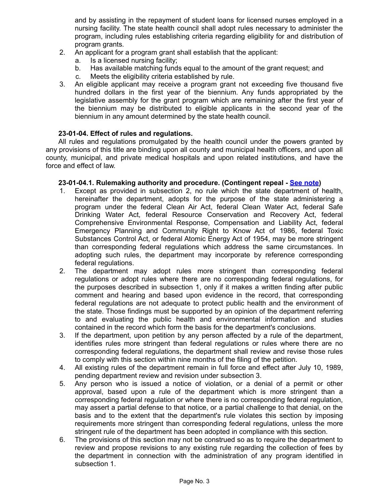and by assisting in the repayment of student loans for licensed nurses employed in a nursing facility. The state health council shall adopt rules necessary to administer the program, including rules establishing criteria regarding eligibility for and distribution of program grants.

- 2. An applicant for a program grant shall establish that the applicant:
	- a. Is a licensed nursing facility;
	- b. Has available matching funds equal to the amount of the grant request; and
	- c. Meets the eligibility criteria established by rule.
- 3. An eligible applicant may receive a program grant not exceeding five thousand five hundred dollars in the first year of the biennium. Any funds appropriated by the legislative assembly for the grant program which are remaining after the first year of the biennium may be distributed to eligible applicants in the second year of the biennium in any amount determined by the state health council.

## **23-01-04. Effect of rules and regulations.**

All rules and regulations promulgated by the health council under the powers granted by any provisions of this title are binding upon all county and municipal health officers, and upon all county, municipal, and private medical hospitals and upon related institutions, and have the force and effect of law.

### **23-01-04.1. Rulemaking authority and procedure. (Contingent repeal - [See note\)](http://www.legis.nd.gov/cencode/notes/2017_199_75.pdf)**

- 1. Except as provided in subsection 2, no rule which the state department of health, hereinafter the department, adopts for the purpose of the state administering a program under the federal Clean Air Act, federal Clean Water Act, federal Safe Drinking Water Act, federal Resource Conservation and Recovery Act, federal Comprehensive Environmental Response, Compensation and Liability Act, federal Emergency Planning and Community Right to Know Act of 1986, federal Toxic Substances Control Act, or federal Atomic Energy Act of 1954, may be more stringent than corresponding federal regulations which address the same circumstances. In adopting such rules, the department may incorporate by reference corresponding federal regulations.
- 2. The department may adopt rules more stringent than corresponding federal regulations or adopt rules where there are no corresponding federal regulations, for the purposes described in subsection 1, only if it makes a written finding after public comment and hearing and based upon evidence in the record, that corresponding federal regulations are not adequate to protect public health and the environment of the state. Those findings must be supported by an opinion of the department referring to and evaluating the public health and environmental information and studies contained in the record which form the basis for the department's conclusions.
- 3. If the department, upon petition by any person affected by a rule of the department, identifies rules more stringent than federal regulations or rules where there are no corresponding federal regulations, the department shall review and revise those rules to comply with this section within nine months of the filing of the petition.
- 4. All existing rules of the department remain in full force and effect after July 10, 1989, pending department review and revision under subsection 3.
- 5. Any person who is issued a notice of violation, or a denial of a permit or other approval, based upon a rule of the department which is more stringent than a corresponding federal regulation or where there is no corresponding federal regulation, may assert a partial defense to that notice, or a partial challenge to that denial, on the basis and to the extent that the department's rule violates this section by imposing requirements more stringent than corresponding federal regulations, unless the more stringent rule of the department has been adopted in compliance with this section.
- 6. The provisions of this section may not be construed so as to require the department to review and propose revisions to any existing rule regarding the collection of fees by the department in connection with the administration of any program identified in subsection 1.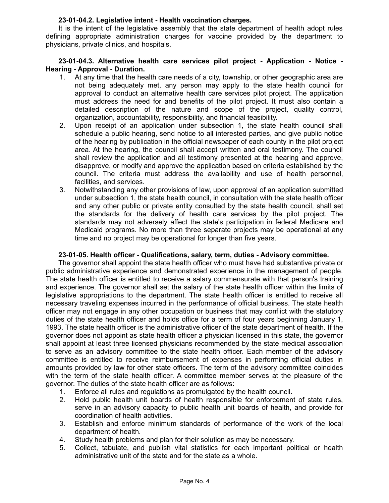## **23-01-04.2. Legislative intent - Health vaccination charges.**

It is the intent of the legislative assembly that the state department of health adopt rules defining appropriate administration charges for vaccine provided by the department to physicians, private clinics, and hospitals.

### **23-01-04.3. Alternative health care services pilot project - Application - Notice - Hearing - Approval - Duration.**

- 1. At any time that the health care needs of a city, township, or other geographic area are not being adequately met, any person may apply to the state health council for approval to conduct an alternative health care services pilot project. The application must address the need for and benefits of the pilot project. It must also contain a detailed description of the nature and scope of the project, quality control, organization, accountability, responsibility, and financial feasibility.
- 2. Upon receipt of an application under subsection 1, the state health council shall schedule a public hearing, send notice to all interested parties, and give public notice of the hearing by publication in the official newspaper of each county in the pilot project area. At the hearing, the council shall accept written and oral testimony. The council shall review the application and all testimony presented at the hearing and approve, disapprove, or modify and approve the application based on criteria established by the council. The criteria must address the availability and use of health personnel, facilities, and services.
- 3. Notwithstanding any other provisions of law, upon approval of an application submitted under subsection 1, the state health council, in consultation with the state health officer and any other public or private entity consulted by the state health council, shall set the standards for the delivery of health care services by the pilot project. The standards may not adversely affect the state's participation in federal Medicare and Medicaid programs. No more than three separate projects may be operational at any time and no project may be operational for longer than five years.

### **23-01-05. Health officer - Qualifications, salary, term, duties - Advisory committee.**

The governor shall appoint the state health officer who must have had substantive private or public administrative experience and demonstrated experience in the management of people. The state health officer is entitled to receive a salary commensurate with that person's training and experience. The governor shall set the salary of the state health officer within the limits of legislative appropriations to the department. The state health officer is entitled to receive all necessary traveling expenses incurred in the performance of official business. The state health officer may not engage in any other occupation or business that may conflict with the statutory duties of the state health officer and holds office for a term of four years beginning January 1, 1993. The state health officer is the administrative officer of the state department of health. If the governor does not appoint as state health officer a physician licensed in this state, the governor shall appoint at least three licensed physicians recommended by the state medical association to serve as an advisory committee to the state health officer. Each member of the advisory committee is entitled to receive reimbursement of expenses in performing official duties in amounts provided by law for other state officers. The term of the advisory committee coincides with the term of the state health officer. A committee member serves at the pleasure of the governor. The duties of the state health officer are as follows:

- 1. Enforce all rules and regulations as promulgated by the health council.
- 2. Hold public health unit boards of health responsible for enforcement of state rules, serve in an advisory capacity to public health unit boards of health, and provide for coordination of health activities.
- 3. Establish and enforce minimum standards of performance of the work of the local department of health.
- 4. Study health problems and plan for their solution as may be necessary.
- 5. Collect, tabulate, and publish vital statistics for each important political or health administrative unit of the state and for the state as a whole.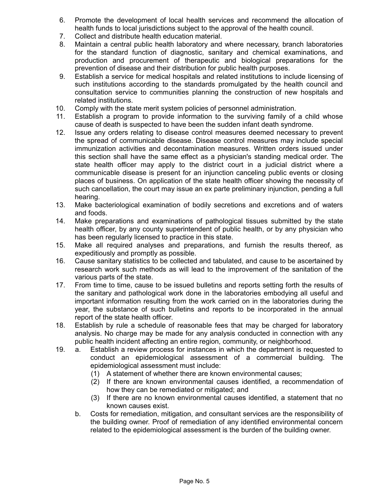- 6. Promote the development of local health services and recommend the allocation of health funds to local jurisdictions subject to the approval of the health council.
- 7. Collect and distribute health education material.
- 8. Maintain a central public health laboratory and where necessary, branch laboratories for the standard function of diagnostic, sanitary and chemical examinations, and production and procurement of therapeutic and biological preparations for the prevention of disease and their distribution for public health purposes.
- 9. Establish a service for medical hospitals and related institutions to include licensing of such institutions according to the standards promulgated by the health council and consultation service to communities planning the construction of new hospitals and related institutions.
- 10. Comply with the state merit system policies of personnel administration.
- 11. Establish a program to provide information to the surviving family of a child whose cause of death is suspected to have been the sudden infant death syndrome.
- 12. Issue any orders relating to disease control measures deemed necessary to prevent the spread of communicable disease. Disease control measures may include special immunization activities and decontamination measures. Written orders issued under this section shall have the same effect as a physician's standing medical order. The state health officer may apply to the district court in a judicial district where a communicable disease is present for an injunction canceling public events or closing places of business. On application of the state health officer showing the necessity of such cancellation, the court may issue an ex parte preliminary injunction, pending a full hearing.
- 13. Make bacteriological examination of bodily secretions and excretions and of waters and foods.
- 14. Make preparations and examinations of pathological tissues submitted by the state health officer, by any county superintendent of public health, or by any physician who has been regularly licensed to practice in this state.
- 15. Make all required analyses and preparations, and furnish the results thereof, as expeditiously and promptly as possible.
- 16. Cause sanitary statistics to be collected and tabulated, and cause to be ascertained by research work such methods as will lead to the improvement of the sanitation of the various parts of the state.
- 17. From time to time, cause to be issued bulletins and reports setting forth the results of the sanitary and pathological work done in the laboratories embodying all useful and important information resulting from the work carried on in the laboratories during the year, the substance of such bulletins and reports to be incorporated in the annual report of the state health officer.
- 18. Establish by rule a schedule of reasonable fees that may be charged for laboratory analysis. No charge may be made for any analysis conducted in connection with any public health incident affecting an entire region, community, or neighborhood.
- 19. a. Establish a review process for instances in which the department is requested to conduct an epidemiological assessment of a commercial building. The epidemiological assessment must include:
	- (1) A statement of whether there are known environmental causes;
	- (2) If there are known environmental causes identified, a recommendation of how they can be remediated or mitigated; and
	- (3) If there are no known environmental causes identified, a statement that no known causes exist.
	- b. Costs for remediation, mitigation, and consultant services are the responsibility of the building owner. Proof of remediation of any identified environmental concern related to the epidemiological assessment is the burden of the building owner.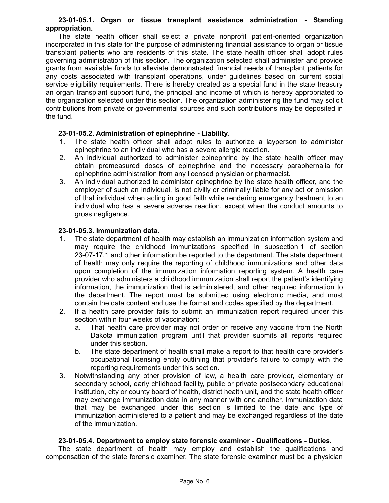### **23-01-05.1. Organ or tissue transplant assistance administration - Standing appropriation.**

The state health officer shall select a private nonprofit patient-oriented organization incorporated in this state for the purpose of administering financial assistance to organ or tissue transplant patients who are residents of this state. The state health officer shall adopt rules governing administration of this section. The organization selected shall administer and provide grants from available funds to alleviate demonstrated financial needs of transplant patients for any costs associated with transplant operations, under guidelines based on current social service eligibility requirements. There is hereby created as a special fund in the state treasury an organ transplant support fund, the principal and income of which is hereby appropriated to the organization selected under this section. The organization administering the fund may solicit contributions from private or governmental sources and such contributions may be deposited in the fund.

### **23-01-05.2. Administration of epinephrine - Liability.**

- 1. The state health officer shall adopt rules to authorize a layperson to administer epinephrine to an individual who has a severe allergic reaction.
- 2. An individual authorized to administer epinephrine by the state health officer may obtain premeasured doses of epinephrine and the necessary paraphernalia for epinephrine administration from any licensed physician or pharmacist.
- 3. An individual authorized to administer epinephrine by the state health officer, and the employer of such an individual, is not civilly or criminally liable for any act or omission of that individual when acting in good faith while rendering emergency treatment to an individual who has a severe adverse reaction, except when the conduct amounts to gross negligence.

### **23-01-05.3. Immunization data.**

- 1. The state department of health may establish an immunization information system and may require the childhood immunizations specified in subsection 1 of section 23-07-17.1 and other information be reported to the department. The state department of health may only require the reporting of childhood immunizations and other data upon completion of the immunization information reporting system. A health care provider who administers a childhood immunization shall report the patient's identifying information, the immunization that is administered, and other required information to the department. The report must be submitted using electronic media, and must contain the data content and use the format and codes specified by the department.
- 2. If a health care provider fails to submit an immunization report required under this section within four weeks of vaccination:
	- a. That health care provider may not order or receive any vaccine from the North Dakota immunization program until that provider submits all reports required under this section.
	- b. The state department of health shall make a report to that health care provider's occupational licensing entity outlining that provider's failure to comply with the reporting requirements under this section.
- 3. Notwithstanding any other provision of law, a health care provider, elementary or secondary school, early childhood facility, public or private postsecondary educational institution, city or county board of health, district health unit, and the state health officer may exchange immunization data in any manner with one another. Immunization data that may be exchanged under this section is limited to the date and type of immunization administered to a patient and may be exchanged regardless of the date of the immunization.

### **23-01-05.4. Department to employ state forensic examiner - Qualifications - Duties.**

The state department of health may employ and establish the qualifications and compensation of the state forensic examiner. The state forensic examiner must be a physician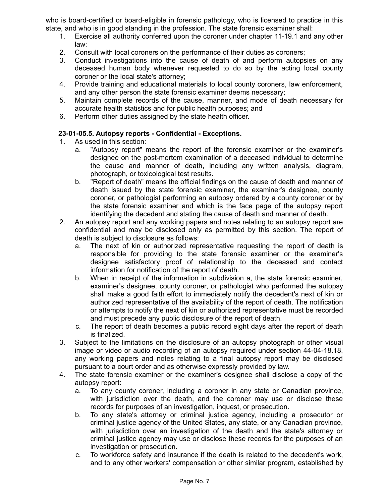who is board-certified or board-eligible in forensic pathology, who is licensed to practice in this state, and who is in good standing in the profession. The state forensic examiner shall:

- 1. Exercise all authority conferred upon the coroner under chapter 11-19.1 and any other law;
- 2. Consult with local coroners on the performance of their duties as coroners;
- 3. Conduct investigations into the cause of death of and perform autopsies on any deceased human body whenever requested to do so by the acting local county coroner or the local state's attorney;
- 4. Provide training and educational materials to local county coroners, law enforcement, and any other person the state forensic examiner deems necessary;
- 5. Maintain complete records of the cause, manner, and mode of death necessary for accurate health statistics and for public health purposes; and
- 6. Perform other duties assigned by the state health officer.

### **23-01-05.5. Autopsy reports - Confidential - Exceptions.**

- 1. As used in this section:
	- a. "Autopsy report" means the report of the forensic examiner or the examiner's designee on the post-mortem examination of a deceased individual to determine the cause and manner of death, including any written analysis, diagram, photograph, or toxicological test results.
	- b. "Report of death" means the official findings on the cause of death and manner of death issued by the state forensic examiner, the examiner's designee, county coroner, or pathologist performing an autopsy ordered by a county coroner or by the state forensic examiner and which is the face page of the autopsy report identifying the decedent and stating the cause of death and manner of death.
- 2. An autopsy report and any working papers and notes relating to an autopsy report are confidential and may be disclosed only as permitted by this section. The report of death is subject to disclosure as follows:
	- a. The next of kin or authorized representative requesting the report of death is responsible for providing to the state forensic examiner or the examiner's designee satisfactory proof of relationship to the deceased and contact information for notification of the report of death.
	- b. When in receipt of the information in subdivision a, the state forensic examiner, examiner's designee, county coroner, or pathologist who performed the autopsy shall make a good faith effort to immediately notify the decedent's next of kin or authorized representative of the availability of the report of death. The notification or attempts to notify the next of kin or authorized representative must be recorded and must precede any public disclosure of the report of death.
	- c. The report of death becomes a public record eight days after the report of death is finalized.
- 3. Subject to the limitations on the disclosure of an autopsy photograph or other visual image or video or audio recording of an autopsy required under section 44-04-18.18, any working papers and notes relating to a final autopsy report may be disclosed pursuant to a court order and as otherwise expressly provided by law.
- 4. The state forensic examiner or the examiner's designee shall disclose a copy of the autopsy report:
	- a. To any county coroner, including a coroner in any state or Canadian province, with jurisdiction over the death, and the coroner may use or disclose these records for purposes of an investigation, inquest, or prosecution.
	- b. To any state's attorney or criminal justice agency, including a prosecutor or criminal justice agency of the United States, any state, or any Canadian province, with jurisdiction over an investigation of the death and the state's attorney or criminal justice agency may use or disclose these records for the purposes of an investigation or prosecution.
	- c. To workforce safety and insurance if the death is related to the decedent's work, and to any other workers' compensation or other similar program, established by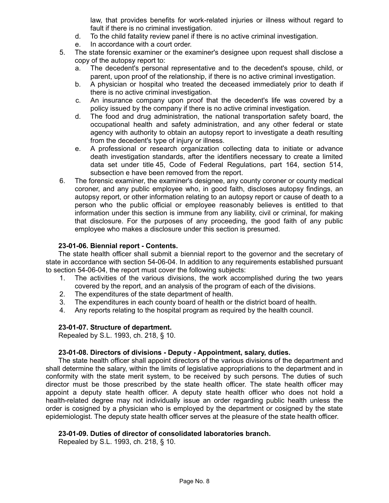law, that provides benefits for work-related injuries or illness without regard to fault if there is no criminal investigation.

- d. To the child fatality review panel if there is no active criminal investigation.
- e. In accordance with a court order.
- 5. The state forensic examiner or the examiner's designee upon request shall disclose a copy of the autopsy report to:
	- a. The decedent's personal representative and to the decedent's spouse, child, or parent, upon proof of the relationship, if there is no active criminal investigation.
	- b. A physician or hospital who treated the deceased immediately prior to death if there is no active criminal investigation.
	- c. An insurance company upon proof that the decedent's life was covered by a policy issued by the company if there is no active criminal investigation.
	- d. The food and drug administration, the national transportation safety board, the occupational health and safety administration, and any other federal or state agency with authority to obtain an autopsy report to investigate a death resulting from the decedent's type of injury or illness.
	- e. A professional or research organization collecting data to initiate or advance death investigation standards, after the identifiers necessary to create a limited data set under title 45, Code of Federal Regulations, part 164, section 514, subsection e have been removed from the report.
- 6. The forensic examiner, the examiner's designee, any county coroner or county medical coroner, and any public employee who, in good faith, discloses autopsy findings, an autopsy report, or other information relating to an autopsy report or cause of death to a person who the public official or employee reasonably believes is entitled to that information under this section is immune from any liability, civil or criminal, for making that disclosure. For the purposes of any proceeding, the good faith of any public employee who makes a disclosure under this section is presumed.

### **23-01-06. Biennial report - Contents.**

The state health officer shall submit a biennial report to the governor and the secretary of state in accordance with section 54-06-04. In addition to any requirements established pursuant to section 54-06-04, the report must cover the following subjects:

- 1. The activities of the various divisions, the work accomplished during the two years covered by the report, and an analysis of the program of each of the divisions.
- 2. The expenditures of the state department of health.
- 3. The expenditures in each county board of health or the district board of health.
- 4. Any reports relating to the hospital program as required by the health council.

### **23-01-07. Structure of department.**

Repealed by S.L. 1993, ch. 218, § 10.

### **23-01-08. Directors of divisions - Deputy - Appointment, salary, duties.**

The state health officer shall appoint directors of the various divisions of the department and shall determine the salary, within the limits of legislative appropriations to the department and in conformity with the state merit system, to be received by such persons. The duties of such director must be those prescribed by the state health officer. The state health officer may appoint a deputy state health officer. A deputy state health officer who does not hold a health-related degree may not individually issue an order regarding public health unless the order is cosigned by a physician who is employed by the department or cosigned by the state epidemiologist. The deputy state health officer serves at the pleasure of the state health officer.

### **23-01-09. Duties of director of consolidated laboratories branch.**

Repealed by S.L. 1993, ch. 218, § 10.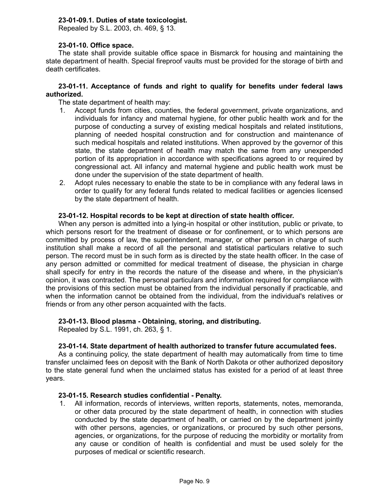# **23-01-09.1. Duties of state toxicologist.**

Repealed by S.L. 2003, ch. 469, § 13.

### **23-01-10. Office space.**

The state shall provide suitable office space in Bismarck for housing and maintaining the state department of health. Special fireproof vaults must be provided for the storage of birth and death certificates.

### **23-01-11. Acceptance of funds and right to qualify for benefits under federal laws authorized.**

The state department of health may:

- 1. Accept funds from cities, counties, the federal government, private organizations, and individuals for infancy and maternal hygiene, for other public health work and for the purpose of conducting a survey of existing medical hospitals and related institutions, planning of needed hospital construction and for construction and maintenance of such medical hospitals and related institutions. When approved by the governor of this state, the state department of health may match the same from any unexpended portion of its appropriation in accordance with specifications agreed to or required by congressional act. All infancy and maternal hygiene and public health work must be done under the supervision of the state department of health.
- 2. Adopt rules necessary to enable the state to be in compliance with any federal laws in order to qualify for any federal funds related to medical facilities or agencies licensed by the state department of health.

### **23-01-12. Hospital records to be kept at direction of state health officer.**

When any person is admitted into a lying-in hospital or other institution, public or private, to which persons resort for the treatment of disease or for confinement, or to which persons are committed by process of law, the superintendent, manager, or other person in charge of such institution shall make a record of all the personal and statistical particulars relative to such person. The record must be in such form as is directed by the state health officer. In the case of any person admitted or committed for medical treatment of disease, the physician in charge shall specify for entry in the records the nature of the disease and where, in the physician's opinion, it was contracted. The personal particulars and information required for compliance with the provisions of this section must be obtained from the individual personally if practicable, and when the information cannot be obtained from the individual, from the individual's relatives or friends or from any other person acquainted with the facts.

### **23-01-13. Blood plasma - Obtaining, storing, and distributing.**

Repealed by S.L. 1991, ch. 263, § 1.

### **23-01-14. State department of health authorized to transfer future accumulated fees.**

As a continuing policy, the state department of health may automatically from time to time transfer unclaimed fees on deposit with the Bank of North Dakota or other authorized depository to the state general fund when the unclaimed status has existed for a period of at least three years.

### **23-01-15. Research studies confidential - Penalty.**

1. All information, records of interviews, written reports, statements, notes, memoranda, or other data procured by the state department of health, in connection with studies conducted by the state department of health, or carried on by the department jointly with other persons, agencies, or organizations, or procured by such other persons, agencies, or organizations, for the purpose of reducing the morbidity or mortality from any cause or condition of health is confidential and must be used solely for the purposes of medical or scientific research.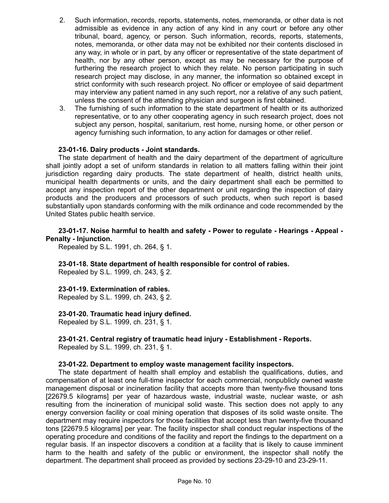- 2. Such information, records, reports, statements, notes, memoranda, or other data is not admissible as evidence in any action of any kind in any court or before any other tribunal, board, agency, or person. Such information, records, reports, statements, notes, memoranda, or other data may not be exhibited nor their contents disclosed in any way, in whole or in part, by any officer or representative of the state department of health, nor by any other person, except as may be necessary for the purpose of furthering the research project to which they relate. No person participating in such research project may disclose, in any manner, the information so obtained except in strict conformity with such research project. No officer or employee of said department may interview any patient named in any such report, nor a relative of any such patient, unless the consent of the attending physician and surgeon is first obtained.
- 3. The furnishing of such information to the state department of health or its authorized representative, or to any other cooperating agency in such research project, does not subject any person, hospital, sanitarium, rest home, nursing home, or other person or agency furnishing such information, to any action for damages or other relief.

### **23-01-16. Dairy products - Joint standards.**

The state department of health and the dairy department of the department of agriculture shall jointly adopt a set of uniform standards in relation to all matters falling within their joint jurisdiction regarding dairy products. The state department of health, district health units, municipal health departments or units, and the dairy department shall each be permitted to accept any inspection report of the other department or unit regarding the inspection of dairy products and the producers and processors of such products, when such report is based substantially upon standards conforming with the milk ordinance and code recommended by the United States public health service.

### **23-01-17. Noise harmful to health and safety - Power to regulate - Hearings - Appeal - Penalty - Injunction.**

Repealed by S.L. 1991, ch. 264, § 1.

## **23-01-18. State department of health responsible for control of rabies.**

Repealed by S.L. 1999, ch. 243, § 2.

### **23-01-19. Extermination of rabies.**

Repealed by S.L. 1999, ch. 243, § 2.

## **23-01-20. Traumatic head injury defined.**

Repealed by S.L. 1999, ch. 231, § 1.

### **23-01-21. Central registry of traumatic head injury - Establishment - Reports.** Repealed by S.L. 1999, ch. 231, § 1.

### **23-01-22. Department to employ waste management facility inspectors.**

The state department of health shall employ and establish the qualifications, duties, and compensation of at least one full-time inspector for each commercial, nonpublicly owned waste management disposal or incineration facility that accepts more than twenty-five thousand tons [22679.5 kilograms] per year of hazardous waste, industrial waste, nuclear waste, or ash resulting from the incineration of municipal solid waste. This section does not apply to any energy conversion facility or coal mining operation that disposes of its solid waste onsite. The department may require inspectors for those facilities that accept less than twenty-five thousand tons [22679.5 kilograms] per year. The facility inspector shall conduct regular inspections of the operating procedure and conditions of the facility and report the findings to the department on a regular basis. If an inspector discovers a condition at a facility that is likely to cause imminent harm to the health and safety of the public or environment, the inspector shall notify the department. The department shall proceed as provided by sections 23-29-10 and 23-29-11.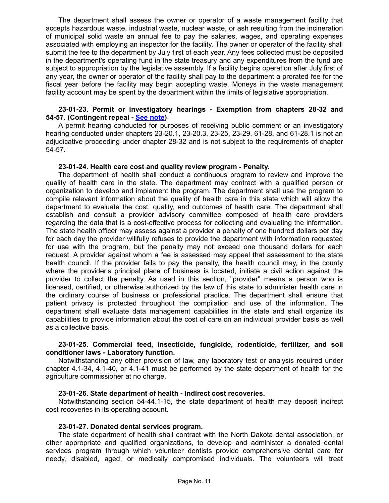The department shall assess the owner or operator of a waste management facility that accepts hazardous waste, industrial waste, nuclear waste, or ash resulting from the incineration of municipal solid waste an annual fee to pay the salaries, wages, and operating expenses associated with employing an inspector for the facility. The owner or operator of the facility shall submit the fee to the department by July first of each year. Any fees collected must be deposited in the department's operating fund in the state treasury and any expenditures from the fund are subject to appropriation by the legislative assembly. If a facility begins operation after July first of any year, the owner or operator of the facility shall pay to the department a prorated fee for the fiscal year before the facility may begin accepting waste. Moneys in the waste management facility account may be spent by the department within the limits of legislative appropriation.

#### **23-01-23. Permit or investigatory hearings - Exemption from chapters 28-32 and 54-57. (Contingent repeal - [See note\)](http://www.legis.nd.gov/cencode/notes/2017_199_75.pdf)**

A permit hearing conducted for purposes of receiving public comment or an investigatory hearing conducted under chapters 23-20.1, 23-20.3, 23-25, 23-29, 61-28, and 61-28.1 is not an adjudicative proceeding under chapter 28-32 and is not subject to the requirements of chapter 54-57.

### **23-01-24. Health care cost and quality review program - Penalty.**

The department of health shall conduct a continuous program to review and improve the quality of health care in the state. The department may contract with a qualified person or organization to develop and implement the program. The department shall use the program to compile relevant information about the quality of health care in this state which will allow the department to evaluate the cost, quality, and outcomes of health care. The department shall establish and consult a provider advisory committee composed of health care providers regarding the data that is a cost-effective process for collecting and evaluating the information. The state health officer may assess against a provider a penalty of one hundred dollars per day for each day the provider willfully refuses to provide the department with information requested for use with the program, but the penalty may not exceed one thousand dollars for each request. A provider against whom a fee is assessed may appeal that assessment to the state health council. If the provider fails to pay the penalty, the health council may, in the county where the provider's principal place of business is located, initiate a civil action against the provider to collect the penalty. As used in this section, "provider" means a person who is licensed, certified, or otherwise authorized by the law of this state to administer health care in the ordinary course of business or professional practice. The department shall ensure that patient privacy is protected throughout the compilation and use of the information. The department shall evaluate data management capabilities in the state and shall organize its capabilities to provide information about the cost of care on an individual provider basis as well as a collective basis.

### **23-01-25. Commercial feed, insecticide, fungicide, rodenticide, fertilizer, and soil conditioner laws - Laboratory function.**

Notwithstanding any other provision of law, any laboratory test or analysis required under chapter 4.1-34, 4.1-40, or 4.1-41 must be performed by the state department of health for the agriculture commissioner at no charge.

### **23-01-26. State department of health - Indirect cost recoveries.**

Notwithstanding section 54-44.1-15, the state department of health may deposit indirect cost recoveries in its operating account.

### **23-01-27. Donated dental services program.**

The state department of health shall contract with the North Dakota dental association, or other appropriate and qualified organizations, to develop and administer a donated dental services program through which volunteer dentists provide comprehensive dental care for needy, disabled, aged, or medically compromised individuals. The volunteers will treat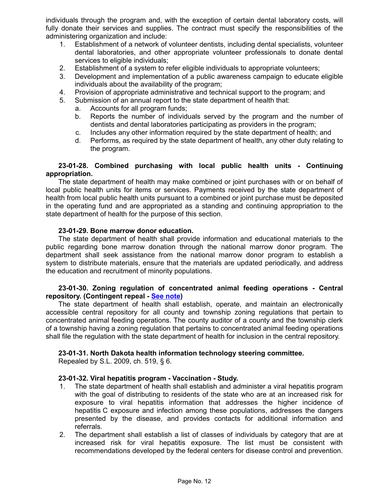individuals through the program and, with the exception of certain dental laboratory costs, will fully donate their services and supplies. The contract must specify the responsibilities of the administering organization and include:

- 1. Establishment of a network of volunteer dentists, including dental specialists, volunteer dental laboratories, and other appropriate volunteer professionals to donate dental services to eligible individuals;
- 2. Establishment of a system to refer eligible individuals to appropriate volunteers;
- 3. Development and implementation of a public awareness campaign to educate eligible individuals about the availability of the program;
- 4. Provision of appropriate administrative and technical support to the program; and
- 5. Submission of an annual report to the state department of health that:
	- a. Accounts for all program funds;
	- b. Reports the number of individuals served by the program and the number of dentists and dental laboratories participating as providers in the program;
	- c. Includes any other information required by the state department of health; and
	- d. Performs, as required by the state department of health, any other duty relating to the program.

### **23-01-28. Combined purchasing with local public health units - Continuing appropriation.**

The state department of health may make combined or joint purchases with or on behalf of local public health units for items or services. Payments received by the state department of health from local public health units pursuant to a combined or joint purchase must be deposited in the operating fund and are appropriated as a standing and continuing appropriation to the state department of health for the purpose of this section.

### **23-01-29. Bone marrow donor education.**

The state department of health shall provide information and educational materials to the public regarding bone marrow donation through the national marrow donor program. The department shall seek assistance from the national marrow donor program to establish a system to distribute materials, ensure that the materials are updated periodically, and address the education and recruitment of minority populations.

### **23-01-30. Zoning regulation of concentrated animal feeding operations - Central repository. (Contingent repeal - [See note\)](http://www.legis.nd.gov/cencode/notes/2017_199_75.pdf)**

The state department of health shall establish, operate, and maintain an electronically accessible central repository for all county and township zoning regulations that pertain to concentrated animal feeding operations. The county auditor of a county and the township clerk of a township having a zoning regulation that pertains to concentrated animal feeding operations shall file the regulation with the state department of health for inclusion in the central repository.

## **23-01-31. North Dakota health information technology steering committee.**

Repealed by S.L. 2009, ch. 519, § 6.

## **23-01-32. Viral hepatitis program - Vaccination - Study.**

- 1. The state department of health shall establish and administer a viral hepatitis program with the goal of distributing to residents of the state who are at an increased risk for exposure to viral hepatitis information that addresses the higher incidence of hepatitis C exposure and infection among these populations, addresses the dangers presented by the disease, and provides contacts for additional information and referrals.
- 2. The department shall establish a list of classes of individuals by category that are at increased risk for viral hepatitis exposure. The list must be consistent with recommendations developed by the federal centers for disease control and prevention.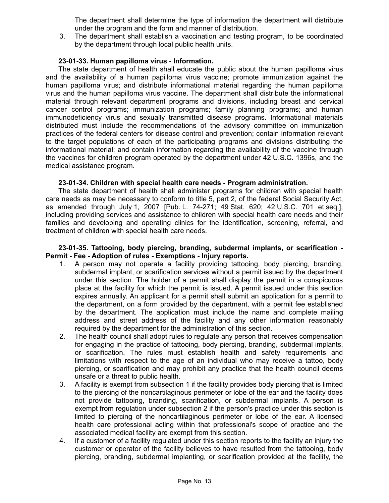The department shall determine the type of information the department will distribute under the program and the form and manner of distribution.

3. The department shall establish a vaccination and testing program, to be coordinated by the department through local public health units.

### **23-01-33. Human papilloma virus - Information.**

The state department of health shall educate the public about the human papilloma virus and the availability of a human papilloma virus vaccine; promote immunization against the human papilloma virus; and distribute informational material regarding the human papilloma virus and the human papilloma virus vaccine. The department shall distribute the informational material through relevant department programs and divisions, including breast and cervical cancer control programs; immunization programs; family planning programs; and human immunodeficiency virus and sexually transmitted disease programs. Informational materials distributed must include the recommendations of the advisory committee on immunization practices of the federal centers for disease control and prevention; contain information relevant to the target populations of each of the participating programs and divisions distributing the informational material; and contain information regarding the availability of the vaccine through the vaccines for children program operated by the department under 42 U.S.C. 1396s, and the medical assistance program.

### **23-01-34. Children with special health care needs - Program administration.**

The state department of health shall administer programs for children with special health care needs as may be necessary to conform to title 5, part 2, of the federal Social Security Act, as amended through July 1, 2007 [Pub. L. 74-271; 49 Stat. 620; 42 U.S.C. 701 et seq.], including providing services and assistance to children with special health care needs and their families and developing and operating clinics for the identification, screening, referral, and treatment of children with special health care needs.

### **23-01-35. Tattooing, body piercing, branding, subdermal implants, or scarification - Permit - Fee - Adoption of rules - Exemptions - Injury reports.**

- 1. A person may not operate a facility providing tattooing, body piercing, branding, subdermal implant, or scarification services without a permit issued by the department under this section. The holder of a permit shall display the permit in a conspicuous place at the facility for which the permit is issued. A permit issued under this section expires annually. An applicant for a permit shall submit an application for a permit to the department, on a form provided by the department, with a permit fee established by the department. The application must include the name and complete mailing address and street address of the facility and any other information reasonably required by the department for the administration of this section.
- 2. The health council shall adopt rules to regulate any person that receives compensation for engaging in the practice of tattooing, body piercing, branding, subdermal implants, or scarification. The rules must establish health and safety requirements and limitations with respect to the age of an individual who may receive a tattoo, body piercing, or scarification and may prohibit any practice that the health council deems unsafe or a threat to public health.
- 3. A facility is exempt from subsection 1 if the facility provides body piercing that is limited to the piercing of the noncartilaginous perimeter or lobe of the ear and the facility does not provide tattooing, branding, scarification, or subdermal implants. A person is exempt from regulation under subsection 2 if the person's practice under this section is limited to piercing of the noncartilaginous perimeter or lobe of the ear. A licensed health care professional acting within that professional's scope of practice and the associated medical facility are exempt from this section.
- 4. If a customer of a facility regulated under this section reports to the facility an injury the customer or operator of the facility believes to have resulted from the tattooing, body piercing, branding, subdermal implanting, or scarification provided at the facility, the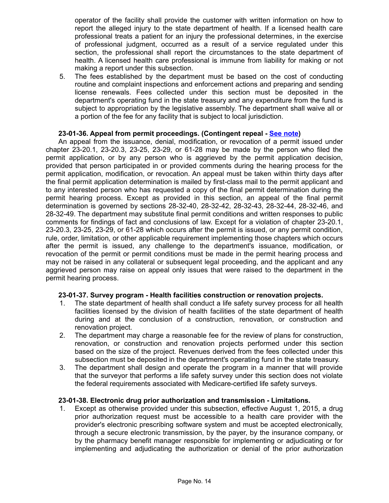operator of the facility shall provide the customer with written information on how to report the alleged injury to the state department of health. If a licensed health care professional treats a patient for an injury the professional determines, in the exercise of professional judgment, occurred as a result of a service regulated under this section, the professional shall report the circumstances to the state department of health. A licensed health care professional is immune from liability for making or not making a report under this subsection.

5. The fees established by the department must be based on the cost of conducting routine and complaint inspections and enforcement actions and preparing and sending license renewals. Fees collected under this section must be deposited in the department's operating fund in the state treasury and any expenditure from the fund is subject to appropriation by the legislative assembly. The department shall waive all or a portion of the fee for any facility that is subject to local jurisdiction.

### **23-01-36. Appeal from permit proceedings. (Contingent repeal - [See note\)](http://www.legis.nd.gov/cencode/notes/2017_199_75.pdf)**

An appeal from the issuance, denial, modification, or revocation of a permit issued under chapter 23-20.1, 23-20.3, 23-25, 23-29, or 61-28 may be made by the person who filed the permit application, or by any person who is aggrieved by the permit application decision, provided that person participated in or provided comments during the hearing process for the permit application, modification, or revocation. An appeal must be taken within thirty days after the final permit application determination is mailed by first-class mail to the permit applicant and to any interested person who has requested a copy of the final permit determination during the permit hearing process. Except as provided in this section, an appeal of the final permit determination is governed by sections 28-32-40, 28-32-42, 28-32-43, 28-32-44, 28-32-46, and 28-32-49. The department may substitute final permit conditions and written responses to public comments for findings of fact and conclusions of law. Except for a violation of chapter 23-20.1, 23-20.3, 23-25, 23-29, or 61-28 which occurs after the permit is issued, or any permit condition, rule, order, limitation, or other applicable requirement implementing those chapters which occurs after the permit is issued, any challenge to the department's issuance, modification, or revocation of the permit or permit conditions must be made in the permit hearing process and may not be raised in any collateral or subsequent legal proceeding, and the applicant and any aggrieved person may raise on appeal only issues that were raised to the department in the permit hearing process.

## **23-01-37. Survey program - Health facilities construction or renovation projects.**

- 1. The state department of health shall conduct a life safety survey process for all health facilities licensed by the division of health facilities of the state department of health during and at the conclusion of a construction, renovation, or construction and renovation project.
- 2. The department may charge a reasonable fee for the review of plans for construction, renovation, or construction and renovation projects performed under this section based on the size of the project. Revenues derived from the fees collected under this subsection must be deposited in the department's operating fund in the state treasury.
- 3. The department shall design and operate the program in a manner that will provide that the surveyor that performs a life safety survey under this section does not violate the federal requirements associated with Medicare-certified life safety surveys.

### **23-01-38. Electronic drug prior authorization and transmission - Limitations.**

1. Except as otherwise provided under this subsection, effective August 1, 2015, a drug prior authorization request must be accessible to a health care provider with the provider's electronic prescribing software system and must be accepted electronically, through a secure electronic transmission, by the payer, by the insurance company, or by the pharmacy benefit manager responsible for implementing or adjudicating or for implementing and adjudicating the authorization or denial of the prior authorization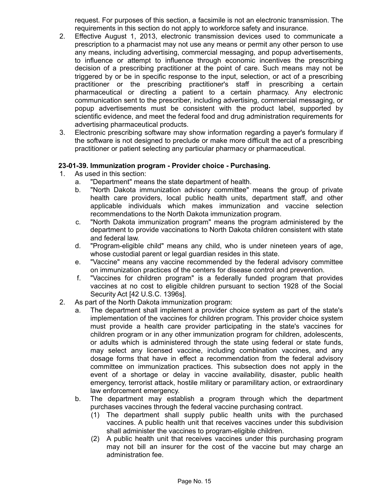request. For purposes of this section, a facsimile is not an electronic transmission. The requirements in this section do not apply to workforce safety and insurance.

- 2. Effective August 1, 2013, electronic transmission devices used to communicate a prescription to a pharmacist may not use any means or permit any other person to use any means, including advertising, commercial messaging, and popup advertisements, to influence or attempt to influence through economic incentives the prescribing decision of a prescribing practitioner at the point of care. Such means may not be triggered by or be in specific response to the input, selection, or act of a prescribing practitioner or the prescribing practitioner's staff in prescribing a certain pharmaceutical or directing a patient to a certain pharmacy. Any electronic communication sent to the prescriber, including advertising, commercial messaging, or popup advertisements must be consistent with the product label, supported by scientific evidence, and meet the federal food and drug administration requirements for advertising pharmaceutical products.
- 3. Electronic prescribing software may show information regarding a payer's formulary if the software is not designed to preclude or make more difficult the act of a prescribing practitioner or patient selecting any particular pharmacy or pharmaceutical.

### **23-01-39. Immunization program - Provider choice - Purchasing.**

- 1. As used in this section:
	- a. "Department" means the state department of health.
	- b. "North Dakota immunization advisory committee" means the group of private health care providers, local public health units, department staff, and other applicable individuals which makes immunization and vaccine selection recommendations to the North Dakota immunization program.
	- c. "North Dakota immunization program" means the program administered by the department to provide vaccinations to North Dakota children consistent with state and federal law.
	- d. "Program-eligible child" means any child, who is under nineteen years of age, whose custodial parent or legal guardian resides in this state.
	- e. "Vaccine" means any vaccine recommended by the federal advisory committee on immunization practices of the centers for disease control and prevention.
	- f. "Vaccines for children program" is a federally funded program that provides vaccines at no cost to eligible children pursuant to section 1928 of the Social Security Act [42 U.S.C. 1396s].
- 2. As part of the North Dakota immunization program:
	- a. The department shall implement a provider choice system as part of the state's implementation of the vaccines for children program. This provider choice system must provide a health care provider participating in the state's vaccines for children program or in any other immunization program for children, adolescents, or adults which is administered through the state using federal or state funds, may select any licensed vaccine, including combination vaccines, and any dosage forms that have in effect a recommendation from the federal advisory committee on immunization practices. This subsection does not apply in the event of a shortage or delay in vaccine availability, disaster, public health emergency, terrorist attack, hostile military or paramilitary action, or extraordinary law enforcement emergency.
	- b. The department may establish a program through which the department purchases vaccines through the federal vaccine purchasing contract.
		- (1) The department shall supply public health units with the purchased vaccines. A public health unit that receives vaccines under this subdivision shall administer the vaccines to program-eligible children.
		- (2) A public health unit that receives vaccines under this purchasing program may not bill an insurer for the cost of the vaccine but may charge an administration fee.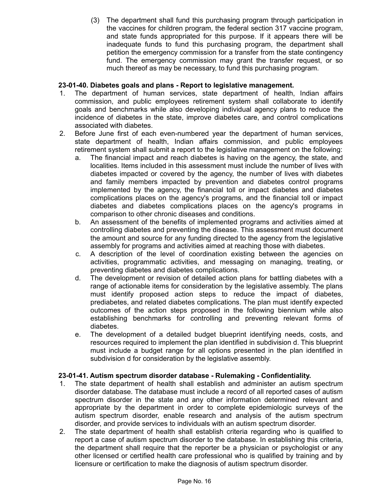(3) The department shall fund this purchasing program through participation in the vaccines for children program, the federal section 317 vaccine program, and state funds appropriated for this purpose. If it appears there will be inadequate funds to fund this purchasing program, the department shall petition the emergency commission for a transfer from the state contingency fund. The emergency commission may grant the transfer request, or so much thereof as may be necessary, to fund this purchasing program.

# **23-01-40. Diabetes goals and plans - Report to legislative management.**

- 1. The department of human services, state department of health, Indian affairs commission, and public employees retirement system shall collaborate to identify goals and benchmarks while also developing individual agency plans to reduce the incidence of diabetes in the state, improve diabetes care, and control complications associated with diabetes.
- 2. Before June first of each even-numbered year the department of human services, state department of health, Indian affairs commission, and public employees retirement system shall submit a report to the legislative management on the following:
	- a. The financial impact and reach diabetes is having on the agency, the state, and localities. Items included in this assessment must include the number of lives with diabetes impacted or covered by the agency, the number of lives with diabetes and family members impacted by prevention and diabetes control programs implemented by the agency, the financial toll or impact diabetes and diabetes complications places on the agency's programs, and the financial toll or impact diabetes and diabetes complications places on the agency's programs in comparison to other chronic diseases and conditions.
	- b. An assessment of the benefits of implemented programs and activities aimed at controlling diabetes and preventing the disease. This assessment must document the amount and source for any funding directed to the agency from the legislative assembly for programs and activities aimed at reaching those with diabetes.
	- c. A description of the level of coordination existing between the agencies on activities, programmatic activities, and messaging on managing, treating, or preventing diabetes and diabetes complications.
	- d. The development or revision of detailed action plans for battling diabetes with a range of actionable items for consideration by the legislative assembly. The plans must identify proposed action steps to reduce the impact of diabetes, prediabetes, and related diabetes complications. The plan must identify expected outcomes of the action steps proposed in the following biennium while also establishing benchmarks for controlling and preventing relevant forms of diabetes.
	- e. The development of a detailed budget blueprint identifying needs, costs, and resources required to implement the plan identified in subdivision d. This blueprint must include a budget range for all options presented in the plan identified in subdivision d for consideration by the legislative assembly.

## **23-01-41. Autism spectrum disorder database - Rulemaking - Confidentiality.**

- 1. The state department of health shall establish and administer an autism spectrum disorder database. The database must include a record of all reported cases of autism spectrum disorder in the state and any other information determined relevant and appropriate by the department in order to complete epidemiologic surveys of the autism spectrum disorder, enable research and analysis of the autism spectrum disorder, and provide services to individuals with an autism spectrum disorder.
- 2. The state department of health shall establish criteria regarding who is qualified to report a case of autism spectrum disorder to the database. In establishing this criteria, the department shall require that the reporter be a physician or psychologist or any other licensed or certified health care professional who is qualified by training and by licensure or certification to make the diagnosis of autism spectrum disorder.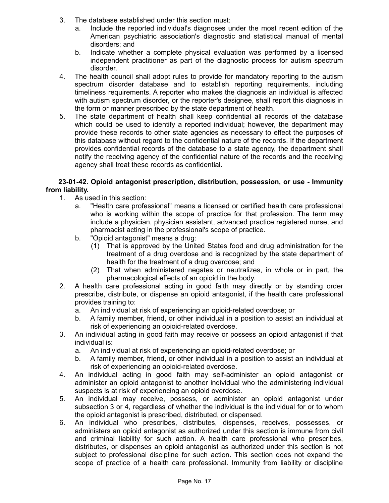- 3. The database established under this section must:
	- a. Include the reported individual's diagnoses under the most recent edition of the American psychiatric association's diagnostic and statistical manual of mental disorders; and
	- b. Indicate whether a complete physical evaluation was performed by a licensed independent practitioner as part of the diagnostic process for autism spectrum disorder.
- 4. The health council shall adopt rules to provide for mandatory reporting to the autism spectrum disorder database and to establish reporting requirements, including timeliness requirements. A reporter who makes the diagnosis an individual is affected with autism spectrum disorder, or the reporter's designee, shall report this diagnosis in the form or manner prescribed by the state department of health.
- 5. The state department of health shall keep confidential all records of the database which could be used to identify a reported individual; however, the department may provide these records to other state agencies as necessary to effect the purposes of this database without regard to the confidential nature of the records. If the department provides confidential records of the database to a state agency, the department shall notify the receiving agency of the confidential nature of the records and the receiving agency shall treat these records as confidential.

### **23-01-42. Opioid antagonist prescription, distribution, possession, or use - Immunity from liability.**

- 1. As used in this section:
	- a. "Health care professional" means a licensed or certified health care professional who is working within the scope of practice for that profession. The term may include a physician, physician assistant, advanced practice registered nurse, and pharmacist acting in the professional's scope of practice.
	- b. "Opioid antagonist" means a drug:
		- (1) That is approved by the United States food and drug administration for the treatment of a drug overdose and is recognized by the state department of health for the treatment of a drug overdose; and
		- (2) That when administered negates or neutralizes, in whole or in part, the pharmacological effects of an opioid in the body.
- 2. A health care professional acting in good faith may directly or by standing order prescribe, distribute, or dispense an opioid antagonist, if the health care professional provides training to:
	- a. An individual at risk of experiencing an opioid-related overdose; or
	- b. A family member, friend, or other individual in a position to assist an individual at risk of experiencing an opioid-related overdose.
- 3. An individual acting in good faith may receive or possess an opioid antagonist if that individual is:
	- a. An individual at risk of experiencing an opioid-related overdose; or
	- b. A family member, friend, or other individual in a position to assist an individual at risk of experiencing an opioid-related overdose.
- 4. An individual acting in good faith may self-administer an opioid antagonist or administer an opioid antagonist to another individual who the administering individual suspects is at risk of experiencing an opioid overdose.
- 5. An individual may receive, possess, or administer an opioid antagonist under subsection 3 or 4, regardless of whether the individual is the individual for or to whom the opioid antagonist is prescribed, distributed, or dispensed.
- 6. An individual who prescribes, distributes, dispenses, receives, possesses, or administers an opioid antagonist as authorized under this section is immune from civil and criminal liability for such action. A health care professional who prescribes, distributes, or dispenses an opioid antagonist as authorized under this section is not subject to professional discipline for such action. This section does not expand the scope of practice of a health care professional. Immunity from liability or discipline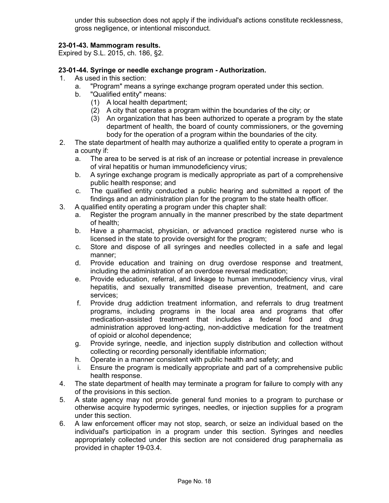under this subsection does not apply if the individual's actions constitute recklessness, gross negligence, or intentional misconduct.

# **23-01-43. Mammogram results.**

Expired by S.L. 2015, ch. 186, §2.

## **23-01-44. Syringe or needle exchange program - Authorization.**

- 1. As used in this section:
	- a. "Program" means a syringe exchange program operated under this section.
	- b. "Qualified entity" means:
		- (1) A local health department;
		- (2) A city that operates a program within the boundaries of the city; or
		- (3) An organization that has been authorized to operate a program by the state department of health, the board of county commissioners, or the governing body for the operation of a program within the boundaries of the city.
- 2. The state department of health may authorize a qualified entity to operate a program in a county if:
	- a. The area to be served is at risk of an increase or potential increase in prevalence of viral hepatitis or human immunodeficiency virus;
	- b. A syringe exchange program is medically appropriate as part of a comprehensive public health response; and
	- c. The qualified entity conducted a public hearing and submitted a report of the findings and an administration plan for the program to the state health officer.
- 3. A qualified entity operating a program under this chapter shall:
	- a. Register the program annually in the manner prescribed by the state department of health;
	- b. Have a pharmacist, physician, or advanced practice registered nurse who is licensed in the state to provide oversight for the program;
	- c. Store and dispose of all syringes and needles collected in a safe and legal manner;
	- d. Provide education and training on drug overdose response and treatment, including the administration of an overdose reversal medication;
	- e. Provide education, referral, and linkage to human immunodeficiency virus, viral hepatitis, and sexually transmitted disease prevention, treatment, and care services;
	- f. Provide drug addiction treatment information, and referrals to drug treatment programs, including programs in the local area and programs that offer medication-assisted treatment that includes a federal food and drug administration approved long-acting, non-addictive medication for the treatment of opioid or alcohol dependence;
	- g. Provide syringe, needle, and injection supply distribution and collection without collecting or recording personally identifiable information;
	- h. Operate in a manner consistent with public health and safety; and
	- i. Ensure the program is medically appropriate and part of a comprehensive public health response.
- 4. The state department of health may terminate a program for failure to comply with any of the provisions in this section.
- 5. A state agency may not provide general fund monies to a program to purchase or otherwise acquire hypodermic syringes, needles, or injection supplies for a program under this section.
- 6. A law enforcement officer may not stop, search, or seize an individual based on the individual's participation in a program under this section. Syringes and needles appropriately collected under this section are not considered drug paraphernalia as provided in chapter 19-03.4.